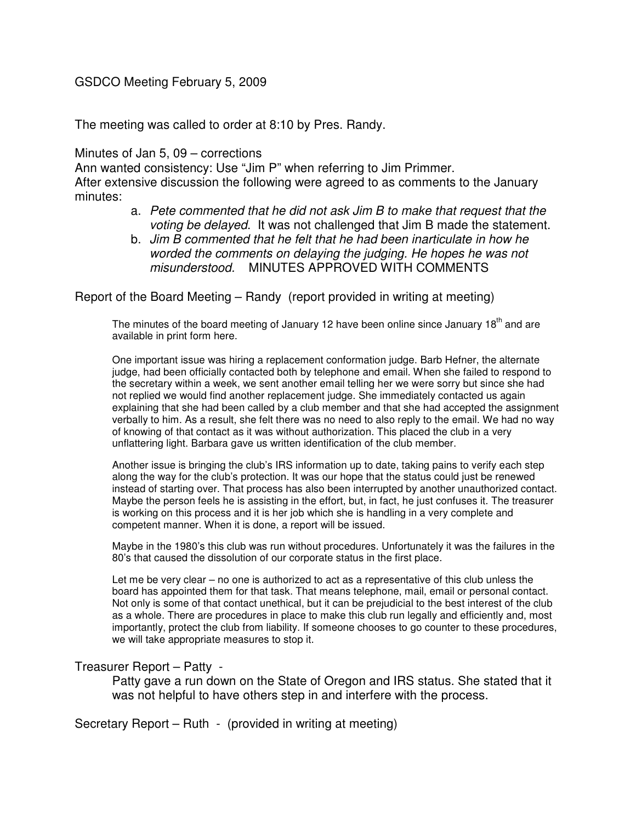# GSDCO Meeting February 5, 2009

The meeting was called to order at 8:10 by Pres. Randy.

### Minutes of Jan 5, 09 – corrections

Ann wanted consistency: Use "Jim P" when referring to Jim Primmer. After extensive discussion the following were agreed to as comments to the January minutes:

- a. Pete commented that he did not ask Jim B to make that request that the voting be delayed. It was not challenged that Jim B made the statement.
- b. Jim B commented that he felt that he had been inarticulate in how he worded the comments on delaying the judging. He hopes he was not misunderstood. MINUTES APPROVED WITH COMMENTS

Report of the Board Meeting – Randy (report provided in writing at meeting)

The minutes of the board meeting of January 12 have been online since January  $18<sup>th</sup>$  and are available in print form here.

One important issue was hiring a replacement conformation judge. Barb Hefner, the alternate judge, had been officially contacted both by telephone and email. When she failed to respond to the secretary within a week, we sent another email telling her we were sorry but since she had not replied we would find another replacement judge. She immediately contacted us again explaining that she had been called by a club member and that she had accepted the assignment verbally to him. As a result, she felt there was no need to also reply to the email. We had no way of knowing of that contact as it was without authorization. This placed the club in a very unflattering light. Barbara gave us written identification of the club member.

Another issue is bringing the club's IRS information up to date, taking pains to verify each step along the way for the club's protection. It was our hope that the status could just be renewed instead of starting over. That process has also been interrupted by another unauthorized contact. Maybe the person feels he is assisting in the effort, but, in fact, he just confuses it. The treasurer is working on this process and it is her job which she is handling in a very complete and competent manner. When it is done, a report will be issued.

Maybe in the 1980's this club was run without procedures. Unfortunately it was the failures in the 80's that caused the dissolution of our corporate status in the first place.

Let me be very clear – no one is authorized to act as a representative of this club unless the board has appointed them for that task. That means telephone, mail, email or personal contact. Not only is some of that contact unethical, but it can be prejudicial to the best interest of the club as a whole. There are procedures in place to make this club run legally and efficiently and, most importantly, protect the club from liability. If someone chooses to go counter to these procedures, we will take appropriate measures to stop it.

### Treasurer Report – Patty -

Patty gave a run down on the State of Oregon and IRS status. She stated that it was not helpful to have others step in and interfere with the process.

Secretary Report – Ruth - (provided in writing at meeting)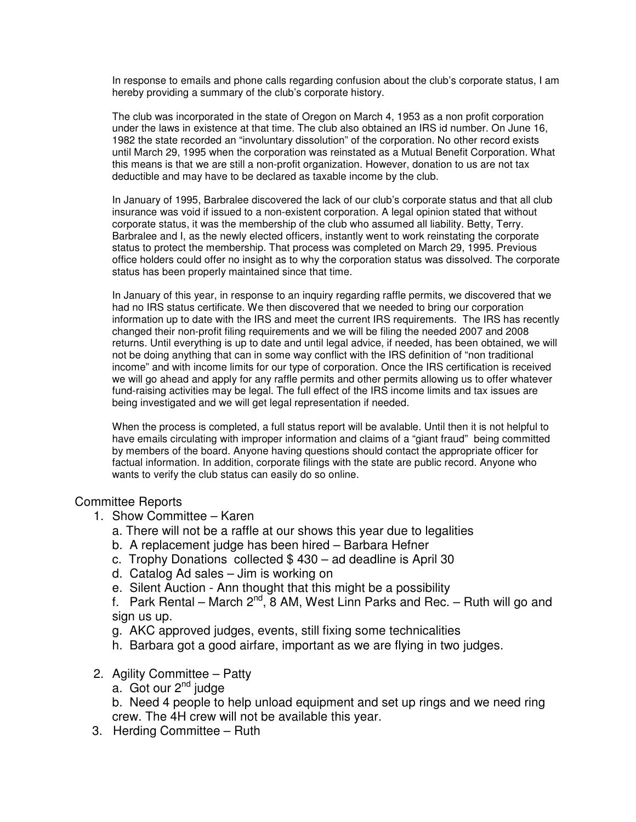In response to emails and phone calls regarding confusion about the club's corporate status, I am hereby providing a summary of the club's corporate history.

The club was incorporated in the state of Oregon on March 4, 1953 as a non profit corporation under the laws in existence at that time. The club also obtained an IRS id number. On June 16, 1982 the state recorded an "involuntary dissolution" of the corporation. No other record exists until March 29, 1995 when the corporation was reinstated as a Mutual Benefit Corporation. What this means is that we are still a non-profit organization. However, donation to us are not tax deductible and may have to be declared as taxable income by the club.

In January of 1995, Barbralee discovered the lack of our club's corporate status and that all club insurance was void if issued to a non-existent corporation. A legal opinion stated that without corporate status, it was the membership of the club who assumed all liability. Betty, Terry. Barbralee and I, as the newly elected officers, instantly went to work reinstating the corporate status to protect the membership. That process was completed on March 29, 1995. Previous office holders could offer no insight as to why the corporation status was dissolved. The corporate status has been properly maintained since that time.

In January of this year, in response to an inquiry regarding raffle permits, we discovered that we had no IRS status certificate. We then discovered that we needed to bring our corporation information up to date with the IRS and meet the current IRS requirements. The IRS has recently changed their non-profit filing requirements and we will be filing the needed 2007 and 2008 returns. Until everything is up to date and until legal advice, if needed, has been obtained, we will not be doing anything that can in some way conflict with the IRS definition of "non traditional income" and with income limits for our type of corporation. Once the IRS certification is received we will go ahead and apply for any raffle permits and other permits allowing us to offer whatever fund-raising activities may be legal. The full effect of the IRS income limits and tax issues are being investigated and we will get legal representation if needed.

When the process is completed, a full status report will be avalable. Until then it is not helpful to have emails circulating with improper information and claims of a "giant fraud" being committed by members of the board. Anyone having questions should contact the appropriate officer for factual information. In addition, corporate filings with the state are public record. Anyone who wants to verify the club status can easily do so online.

### Committee Reports

- 1. Show Committee Karen
	- a. There will not be a raffle at our shows this year due to legalities
	- b. A replacement judge has been hired Barbara Hefner
	- c. Trophy Donations collected \$ 430 ad deadline is April 30
	- d. Catalog Ad sales Jim is working on
	- e. Silent Auction Ann thought that this might be a possibility

f. Park Rental – March  $2^{nd}$ , 8 AM, West Linn Parks and Rec. – Ruth will go and sign us up.

- g. AKC approved judges, events, still fixing some technicalities
- h. Barbara got a good airfare, important as we are flying in two judges.
- 2. Agility Committee Patty
	- $a.$  Got our  $2^{nd}$  judge

b. Need 4 people to help unload equipment and set up rings and we need ring crew. The 4H crew will not be available this year.

3. Herding Committee – Ruth